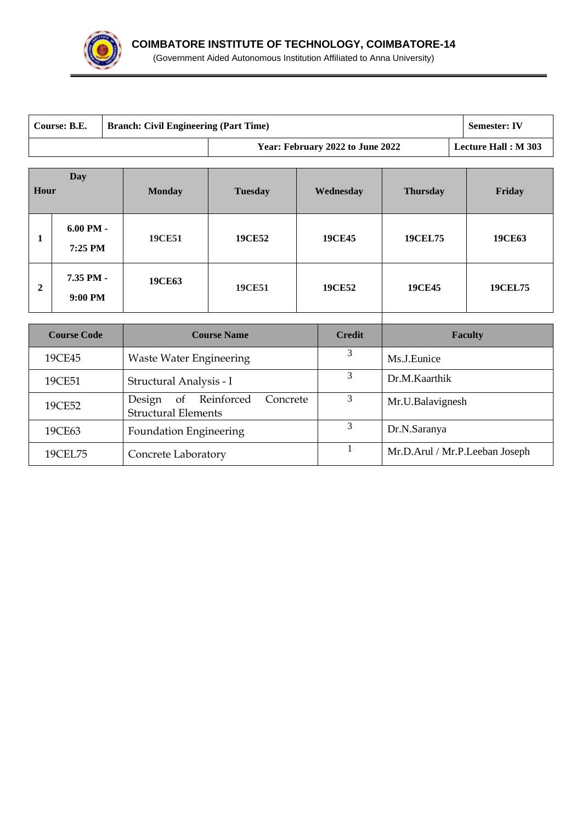

| Course: B.E.<br><b>Branch: Civil Engineering (Part Time)</b><br><b>Semester: IV</b> |                        |                                |                             |                  |                                  |                                |                            |  |
|-------------------------------------------------------------------------------------|------------------------|--------------------------------|-----------------------------|------------------|----------------------------------|--------------------------------|----------------------------|--|
|                                                                                     |                        |                                |                             |                  | Year: February 2022 to June 2022 |                                | <b>Lecture Hall: M 303</b> |  |
| Hour                                                                                | Day                    | <b>Monday</b>                  | <b>Tuesday</b><br>Wednesday |                  |                                  | <b>Thursday</b>                | Friday                     |  |
| 1                                                                                   | $6.00$ PM -<br>7:25 PM | <b>19CE51</b>                  | <b>19CE52</b>               | <b>19CE45</b>    |                                  | <b>19CEL75</b>                 | <b>19CE63</b>              |  |
| $\boldsymbol{2}$                                                                    | 7.35 PM -<br>9:00 PM   | <b>19CE63</b>                  | <b>19CE51</b>               | <b>19CE52</b>    |                                  | <b>19CE45</b>                  | <b>19CEL75</b>             |  |
|                                                                                     | <b>Course Code</b>     |                                | <b>Course Name</b>          |                  | <b>Credit</b>                    |                                | <b>Faculty</b>             |  |
|                                                                                     | 19CE45                 | <b>Waste Water Engineering</b> |                             |                  | 3                                | Ms.J.Eunice                    |                            |  |
| 3<br>19CE51<br>Structural Analysis - I                                              |                        |                                | Dr.M.Kaarthik               |                  |                                  |                                |                            |  |
| Design<br>of Reinforced<br>Concrete<br>19CE52<br><b>Structural Elements</b>         |                        |                                | 3                           | Mr.U.Balavignesh |                                  |                                |                            |  |
| 19CE63<br><b>Foundation Engineering</b>                                             |                        |                                |                             | 3                | Dr.N.Saranya                     |                                |                            |  |
| 19CEL75<br>Concrete Laboratory                                                      |                        |                                |                             | 1                |                                  | Mr.D.Arul / Mr.P.Leeban Joseph |                            |  |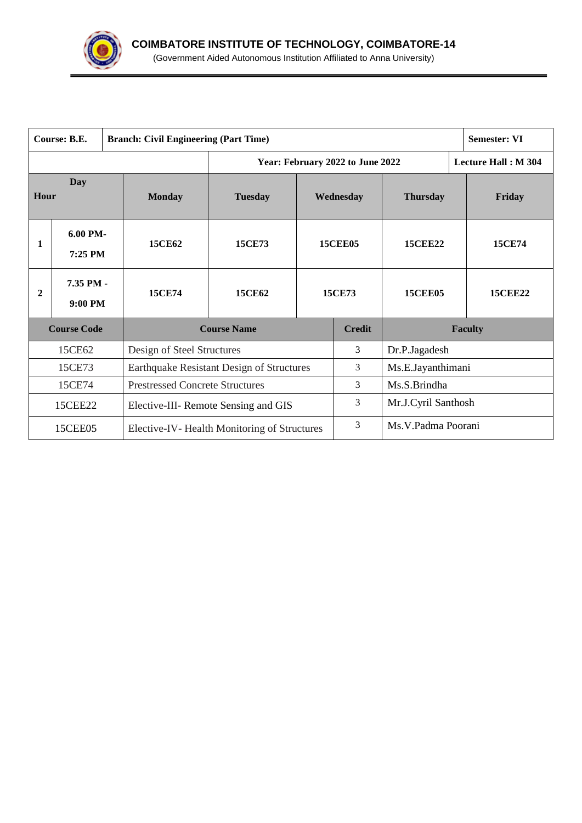

|                                                  | Course: B.E.                                            |  | <b>Branch: Civil Engineering (Part Time)</b> | <b>Semester: VI</b> |                     |                                  |                    |                            |
|--------------------------------------------------|---------------------------------------------------------|--|----------------------------------------------|---------------------|---------------------|----------------------------------|--------------------|----------------------------|
|                                                  |                                                         |  |                                              |                     |                     | Year: February 2022 to June 2022 |                    | <b>Lecture Hall: M 304</b> |
| Day<br>Hour                                      |                                                         |  | <b>Monday</b>                                | <b>Tuesday</b>      | Wednesday           |                                  | <b>Thursday</b>    | Friday                     |
| 1                                                | 6.00 PM-<br>$7:25$ PM                                   |  | <b>15CE62</b>                                | <b>15CE73</b>       | <b>15CEE05</b>      |                                  | <b>15CEE22</b>     | 15CE74                     |
| $\overline{2}$                                   | 7.35 PM -<br>$9:00$ PM                                  |  | <b>15CE74</b>                                | 15CE62              | 15CE73              |                                  | <b>15CEE05</b>     | <b>15CEE22</b>             |
|                                                  | <b>Course Code</b>                                      |  |                                              | <b>Course Name</b>  |                     | <b>Credit</b>                    |                    | <b>Faculty</b>             |
|                                                  | 15CE62                                                  |  | Design of Steel Structures                   |                     |                     | 3                                | Dr.P.Jagadesh      |                            |
| 15CE73                                           |                                                         |  | Earthquake Resistant Design of Structures    |                     | 3                   | Ms.E.Jayanthimani                |                    |                            |
| 15CE74<br><b>Prestressed Concrete Structures</b> |                                                         |  | 3                                            |                     |                     | Ms.S.Brindha                     |                    |                            |
| 15CEE22                                          |                                                         |  | 3<br>Elective-III- Remote Sensing and GIS    |                     | Mr.J.Cyril Santhosh |                                  |                    |                            |
|                                                  | 15CEE05<br>Elective-IV- Health Monitoring of Structures |  |                                              |                     | 3                   |                                  | Ms.V.Padma Poorani |                            |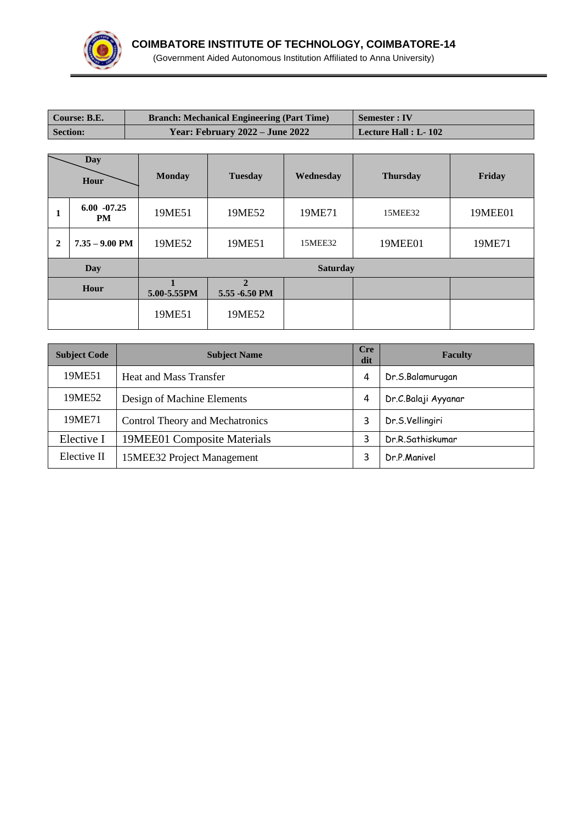

| Course: B.E.    |                             |               | <b>Branch: Mechanical Engineering (Part Time)</b> | <b>Semester: IV</b>  |                 |         |  |  |  |
|-----------------|-----------------------------|---------------|---------------------------------------------------|----------------------|-----------------|---------|--|--|--|
| <b>Section:</b> |                             |               | Year: February 2022 - June 2022                   | Lecture Hall : L-102 |                 |         |  |  |  |
|                 |                             |               |                                                   |                      |                 |         |  |  |  |
|                 | <b>Day</b><br>Hour          | <b>Monday</b> | <b>Tuesday</b>                                    | Wednesday            | <b>Thursday</b> | Friday  |  |  |  |
| 1               | $6.00 - 07.25$<br><b>PM</b> | 19ME51        | 19ME52                                            | 19ME71               | 15MEE32         | 19MEE01 |  |  |  |
| $\mathbf{2}$    | $7.35 - 9.00$ PM            | 19ME52        | 19ME51                                            | 15MEE32              | 19MEE01         | 19ME71  |  |  |  |
|                 | Day                         |               | <b>Saturday</b>                                   |                      |                 |         |  |  |  |
| Hour            |                             | 5.00-5.55PM   | $\overline{2}$<br>5.55 -6.50 PM                   |                      |                 |         |  |  |  |
|                 |                             | 19ME51        | 19ME52                                            |                      |                 |         |  |  |  |

| <b>Subject Code</b> | <b>Cre</b><br><b>Subject Name</b> |   | <b>Faculty</b>      |
|---------------------|-----------------------------------|---|---------------------|
| 19ME51              | <b>Heat and Mass Transfer</b>     | 4 | Dr.S.Balamurugan    |
| 19ME52              | Design of Machine Elements        | 4 | Dr.C.Balaji Ayyanar |
| 19ME71              | Control Theory and Mechatronics   |   | Dr.S.Vellingiri     |
| Elective I          | 19MEE01 Composite Materials       | 3 | Dr.R.Sathiskumar    |
| Elective II         | 15MEE32 Project Management        |   | Dr.P.Manivel        |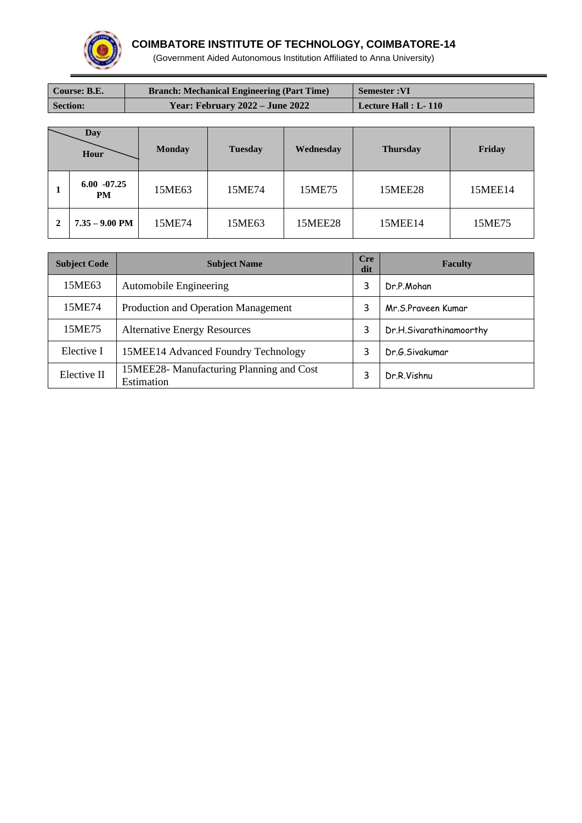

## **COIMBATORE INSTITUTE OF TECHNOLOGY, COIMBATORE-14**

(Government Aided Autonomous Institution Affiliated to Anna University)

| Course: B.E.    | <b>Branch: Mechanical Engineering (Part Time)</b> | <b>Semester:VI</b>   |
|-----------------|---------------------------------------------------|----------------------|
| <b>Section:</b> | Year: February 2022 – June 2022                   | Lecture Hall : L-110 |

|   | Day<br>Hour                 | <b>Monday</b> | <b>Tuesday</b> | Wednesday      | <b>Thursday</b> | Friday  |
|---|-----------------------------|---------------|----------------|----------------|-----------------|---------|
|   | $6.00 - 07.25$<br><b>PM</b> | 15ME63        | 15ME74         | 15ME75         | <b>15MEE28</b>  | 15MEE14 |
| 2 | $7.35 - 9.00$ PM            | 15ME74        | 15ME63         | <b>15MEE28</b> | 15MEE14         | 15ME75  |

| <b>Subject Code</b> | <b>Cre</b><br><b>Subject Name</b>                      |   | <b>Faculty</b>          |
|---------------------|--------------------------------------------------------|---|-------------------------|
| 15ME63              | <b>Automobile Engineering</b>                          |   | Dr.P.Mohan              |
| 15ME74              | Production and Operation Management                    | 3 | Mr.S.Praveen Kumar      |
| 15ME75              | <b>Alternative Energy Resources</b>                    | 3 | Dr.H.Sivarathinamoorthy |
| Elective I          | 15MEE14 Advanced Foundry Technology                    |   | Dr.G.Sivakumar          |
| Elective II         | 15MEE28- Manufacturing Planning and Cost<br>Estimation |   | Dr.R.Vishnu             |